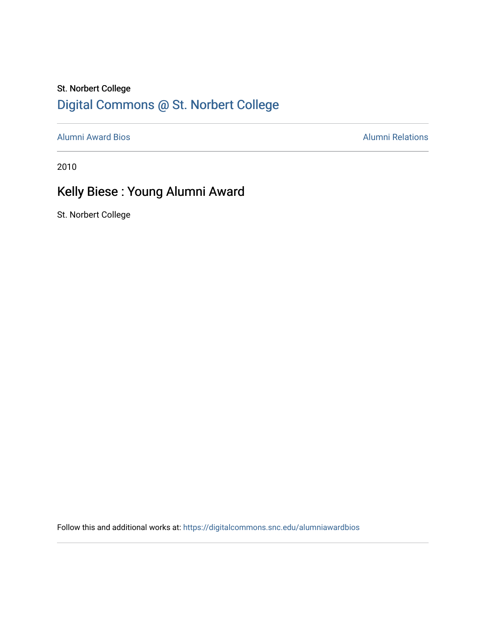## St. Norbert College [Digital Commons @ St. Norbert College](https://digitalcommons.snc.edu/)

[Alumni Award Bios](https://digitalcommons.snc.edu/alumniawardbios) **Alumni Relations** Alumni Relations

2010

## Kelly Biese : Young Alumni Award

St. Norbert College

Follow this and additional works at: [https://digitalcommons.snc.edu/alumniawardbios](https://digitalcommons.snc.edu/alumniawardbios?utm_source=digitalcommons.snc.edu%2Falumniawardbios%2F45&utm_medium=PDF&utm_campaign=PDFCoverPages)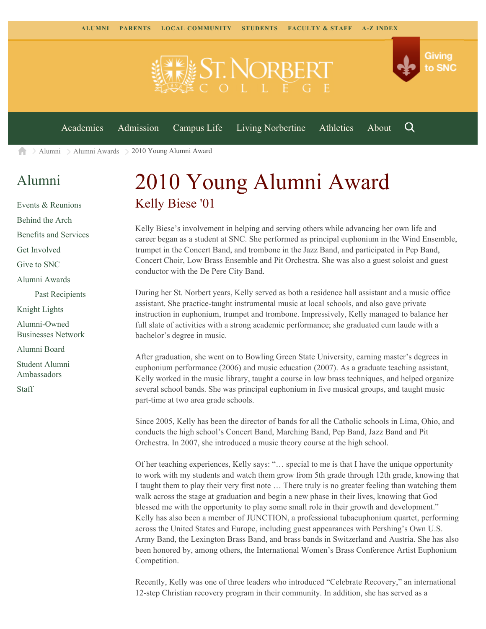

[Alumni](https://www.snc.edu/alumni/) [Alumni Awards](https://www.snc.edu/alumni/awards/) 2010 Young Alumni Award A

## [Alumni](https://www.snc.edu/alumni/index.html)

[Events & Reunions](https://www.snc.edu/alumni/event/index.html) [Behind the Arch](https://www.snc.edu/alumni/event/behindthearch/) [Benefits and Services](https://www.snc.edu/alumni/benefits.html) [Get Involved](https://www.snc.edu/alumni/getinvolved.html) [Give to SNC](http://giving.snc.edu/) [Alumni Awards](https://www.snc.edu/alumni/awards/index.html) [Past Recipients](https://www.snc.edu/alumni/awards/recipients.html) [Knight Lights](https://www.snc.edu/alumni/knightlights/index.html) [Alumni-Owned](https://www.snc.edu/alumni/directory/index.html) [Businesses Network](https://www.snc.edu/alumni/directory/index.html) [Alumni Board](https://www.snc.edu/alumni/alumniboard.html) [Student Alumni](https://www.snc.edu/alumni/saa.html) [Ambassadors](https://www.snc.edu/alumni/saa.html)

[Staff](https://www.snc.edu/alumni/contactus.html)

## 2010 Young Alumni Award Kelly Biese '01

Kelly Biese's involvement in helping and serving others while advancing her own life and career began as a student at SNC. She performed as principal euphonium in the Wind Ensemble, trumpet in the Concert Band, and trombone in the Jazz Band, and participated in Pep Band, Concert Choir, Low Brass Ensemble and Pit Orchestra. She was also a guest soloist and guest conductor with the De Pere City Band.

During her St. Norbert years, Kelly served as both a residence hall assistant and a music office assistant. She practice-taught instrumental music at local schools, and also gave private instruction in euphonium, trumpet and trombone. Impressively, Kelly managed to balance her full slate of activities with a strong academic performance; she graduated cum laude with a bachelor's degree in music.

After graduation, she went on to Bowling Green State University, earning master's degrees in euphonium performance (2006) and music education (2007). As a graduate teaching assistant, Kelly worked in the music library, taught a course in low brass techniques, and helped organize several school bands. She was principal euphonium in five musical groups, and taught music part-time at two area grade schools.

Since 2005, Kelly has been the director of bands for all the Catholic schools in Lima, Ohio, and conducts the high school's Concert Band, Marching Band, Pep Band, Jazz Band and Pit Orchestra. In 2007, she introduced a music theory course at the high school.

Of her teaching experiences, Kelly says: "… special to me is that I have the unique opportunity to work with my students and watch them grow from 5th grade through 12th grade, knowing that I taught them to play their very first note … There truly is no greater feeling than watching them walk across the stage at graduation and begin a new phase in their lives, knowing that God blessed me with the opportunity to play some small role in their growth and development." Kelly has also been a member of JUNCTION, a professional tubaeuphonium quartet, performing across the United States and Europe, including guest appearances with Pershing's Own U.S. Army Band, the Lexington Brass Band, and brass bands in Switzerland and Austria. She has also been honored by, among others, the International Women's Brass Conference Artist Euphonium Competition.

Recently, Kelly was one of three leaders who introduced "Celebrate Recovery," an international 12-step Christian recovery program in their community. In addition, she has served as a